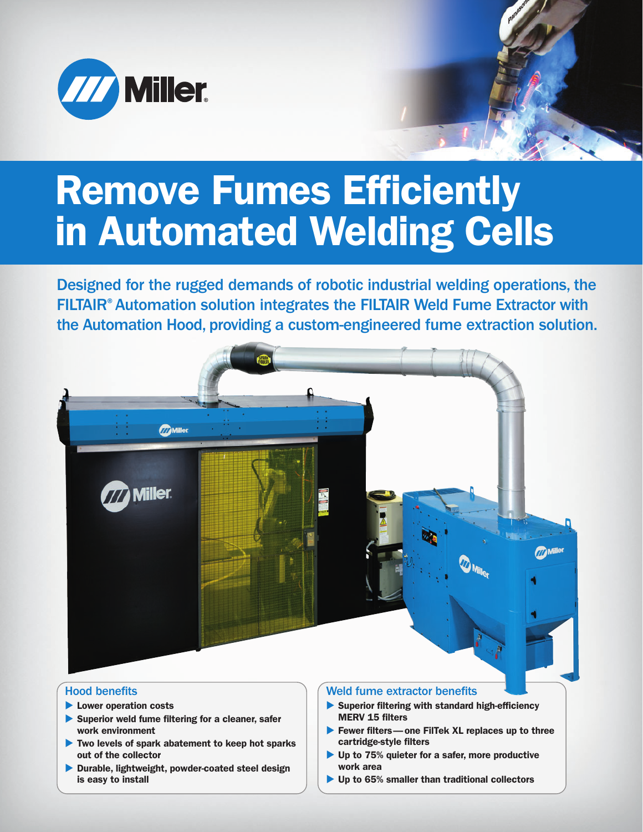

# **Remove Fumes Efficiently in Automated Welding Cells**

Designed for the rugged demands of robotic industrial welding operations, the FILTAIR® Automation solution integrates the FILTAIR Weld Fume Extractor with the Automation Hood, providing a custom-engineered fume extraction solution.



## Hood benefits

- **Lower operation costs**
- **Superior weld fume filtering for a cleaner, safer work environment**
- ▶ Two levels of spark abatement to keep hot sparks **out of the collector**
- **Durable, lightweight, powder-coated steel design is easy to install**

#### Weld fume extractor benefits

- **Superior filtering with standard high-efficiency MERV 15 filters**
- **Fewer filters—one FilTek XL replaces up to three cartridge-style filters**
- ▶ Up to 75% quieter for a safer, more productive **work area**
- ▶ Up to 65% smaller than traditional collectors